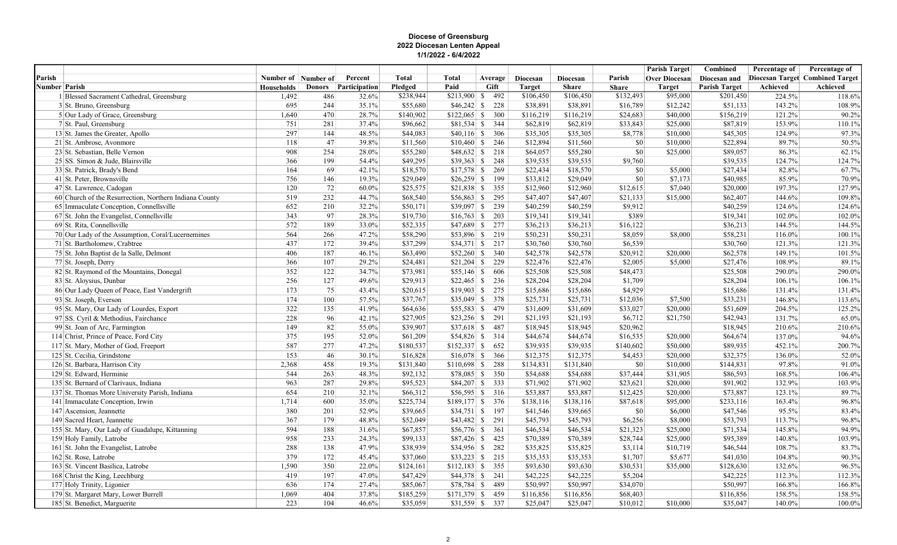## Diocese of Greensburg 2022 Diocesan Lenten Appeal 1/1/2022 - 6/4/2022

|                      |                                                                      |                       |               |                |                      |                    |                         |                      |                      |                      | <b>Parish Target</b> | Combined             | Percentage of    | Percentage of                   |
|----------------------|----------------------------------------------------------------------|-----------------------|---------------|----------------|----------------------|--------------------|-------------------------|----------------------|----------------------|----------------------|----------------------|----------------------|------------------|---------------------------------|
| Parish               |                                                                      | Number of   Number of |               | Percent        | <b>Total</b>         | <b>Total</b>       | Average                 | Diocesan             | Diocesan             | Parish               | <b>Over Diocesan</b> | Diocesan and         |                  | Diocesan Target Combined Target |
| <b>Number Parish</b> |                                                                      | <b>Households</b>     | <b>Donors</b> | Participation  | Pledged              | Paid               | Gift                    | <b>Target</b>        | <b>Share</b>         | <b>Share</b>         | <b>Target</b>        | <b>Parish Target</b> | Achieved         | Achieved                        |
|                      | 1 Blessed Sacrament Cathedral, Greensburg                            | 1,492                 | 486           | 32.6%          | \$238,944            | $$213,900$ \$ 492  |                         | \$106,450            | \$106,450            | \$132,493            | \$95,000             | \$201,450            | 224.5%           | 118.6%                          |
|                      | 3 St. Bruno, Greensburg                                              | 695                   | 244           | 35.1%          | \$55,680             |                    | 228                     | \$38,891             | \$38,891             | \$16,789             | \$12,242             | \$51,133             | 143.2%           | 108.9%                          |
|                      | 5 Our Lady of Grace, Greensburg                                      | 1,640                 | 470           | 28.7%          | \$140,902            |                    | 300                     | \$116,219            | \$116,219            | \$24,683             | \$40,000             | \$156,219            | 121.2%           | 90.2%                           |
|                      | 7 St. Paul, Greensburg                                               | 751                   | 281           | 37.4%          | \$96,662             |                    | 344                     | \$62,819             | \$62,819             | \$33,843             | \$25,000             | \$87,819             | 153.9%           | 110.1%                          |
|                      | 13 St. James the Greater, Apollo                                     | 297                   | 144           | 48.5%          | \$44,083             | $$40,116$ \$ 306   |                         | \$35,305             | \$35,305             | \$8,778              | \$10,000             | \$45,305             | 124.9%           | 97.3%                           |
|                      | 21 St. Ambrose, Avonmore                                             | 118                   | 47            | 39.8%          | \$11,560             | $$10,460$ \$ 246   |                         | \$12,894             | \$11,560             | \$0                  | \$10,000             | \$22,894             | 89.7%            | 50.5%                           |
|                      | 23 St. Sebastian, Belle Vernon                                       | 908                   | 254           | 28.0%          | \$55,280             |                    | $$48,632$ \$ 218        | \$64,057             | \$55,280             | \$0                  | \$25,000             | \$89,057             | 86.3%            | 62.1%                           |
|                      | 25 SS. Simon & Jude, Blairsville                                     | 366                   | 199           | 54.4%          | \$49,295             |                    | 248                     | \$39,535             | \$39,535             | \$9,760              |                      | \$39,535             | 124.7%           | 124.7%                          |
|                      | 33 St. Patrick, Brady's Bend                                         | 164                   | 69            | 42.1%          | \$18,570             |                    | 269                     | \$22,434             | \$18,570             | \$0                  | \$5,000              | \$27,434             | 82.8%            | 67.7%                           |
|                      | 41 St. Peter, Brownsville                                            | 756                   | 146           | 19.3%          | \$29,049             |                    | 199                     | \$33,812             | \$29,049             | \$0                  | \$7,173              | \$40,985             | 85.9%            | 70.9%                           |
|                      | 47 St. Lawrence, Cadogan                                             | 120                   | 72            | $60.0\%$       | \$25,575             |                    | 355                     | \$12,960             | \$12,960             | \$12,615             | \$7,040              | \$20,000             | 197.3%           | 127.9%                          |
|                      | 60 Church of the Resurrection, Northern Indiana County               | 519                   | 232           | 44.7%          | \$68,540             |                    | 295                     | \$47,407             | \$47,407             | \$21,133             | \$15,000             | \$62,407             | 144.6%           | 109.8%                          |
|                      | 65 Immaculate Conception, Connellsville                              | 652                   | 210           | 32.2%          | \$50,171             |                    | 239                     | \$40,259             | \$40,259             | \$9,912              |                      | \$40,259             | 124.6%           | 124.6%                          |
|                      | 67 St. John the Evangelist, Connellsville                            | 343<br>572            | 97<br>189     | 28.3%          | \$19,730             | $$16,763$ \$ 203   |                         | \$19,341             | \$19,341             | \$389                |                      | \$19,341             | 102.0%           | 102.0%                          |
|                      | 69 St. Rita, Connellsville                                           | 564                   |               | 33.0%          | \$52,335             |                    | 277                     | \$36,213             | \$36,213             | \$16,122             |                      | \$36,213             | 144.5%           | 144.5%                          |
|                      | 70 Our Lady of the Assumption, Coral/Lucernemines                    |                       | 266           | 47.2%          | \$58,290             | \$53,896 \$ 219    |                         | \$50,231             | \$50,231             | \$8,059              | \$8,000              | \$58,231             | 116.0%           | 100.1%                          |
|                      | 71 St. Bartholomew, Crabtree                                         | 437                   | 172           | 39.4%          | \$37,299             |                    | 217                     | \$30,760<br>\$42,578 | \$30,760             | \$6,539              |                      | \$30,760<br>\$62,578 | 121.3%           | 121.3%                          |
|                      | 75 St. John Baptist de la Salle, Delmont                             | 406                   | 187<br>107    | 46.1%          | \$63,490             |                    | $$52,260$ \$ 340<br>229 | \$22,476             | \$42,578             | \$20,912<br>\$2,005  | \$20,000             |                      | 149.1%           | 101.5%                          |
|                      | 77 St. Joseph, Derry                                                 | 366<br>352            | 122           | 29.2%<br>34.7% | \$24,481             |                    | 606                     | \$25,508             | \$22,476<br>\$25,508 | \$48,473             | \$5,000              | \$27,476<br>\$25,508 | 108.9%           | 89.1%<br>290.0%                 |
|                      | 82 St. Raymond of the Mountains, Donegal                             |                       |               |                | \$73,981             |                    |                         |                      |                      |                      |                      |                      | 290.0%           |                                 |
|                      | 83 St. Aloysius, Dunbar                                              | 256                   | 127           | 49.6%          | \$29,913             |                    | 236                     | \$28,204             | \$28,204             | \$1,709              |                      | \$28,204             | 106.1%           | 106.1%                          |
|                      | 86 Our Lady Queen of Peace, East Vandergrift                         | 173                   | 75            | 43.4%          | \$20,615             |                    | 275                     | \$15,686             | \$15,686             | \$4,929              |                      | \$15,686             | 131.4%           | 131.4%                          |
|                      | 93 St. Joseph, Everson                                               | 174<br>322            | 100<br>135    | 57.5%<br>41.9% | \$37,767<br>\$64,636 | \$55,583 \$ 479    | $$35,049$ \$ 378        | \$25,731<br>\$31,609 | \$25,731<br>\$31,609 | \$12,036<br>\$33,027 | \$7,500<br>\$20,000  | \$33,231<br>\$51,609 | 146.8%<br>204.5% | 113.6%                          |
|                      | 95 St. Mary, Our Lady of Lourdes, Export                             | 228                   | 96            |                | \$27,905             | $$23,256$ $$291$   |                         | \$21,193             | \$21,193             | \$6,712              |                      | \$42,943             |                  | 125.2%<br>65.0%                 |
|                      | 97 SS. Cyril & Methodius, Fairchance                                 | 149                   | 82            | 42.1%<br>55.0% | \$39,907             |                    | 487                     | \$18,945             | \$18,945             | \$20,962             | \$21,750             | \$18,945             | 131.7%<br>210.6% | 210.6%                          |
|                      | 99 St. Joan of Arc, Farmington                                       | 375                   | 195           | 52.0%          | \$61,209             | $$54,826$ \ \$ 314 |                         | \$44,674             | \$44,674             | \$16,535             | \$20,000             | \$64,674             | 137.0%           | 94.6%                           |
|                      | 114 Christ, Prince of Peace, Ford City                               | 587                   | 277           | 47.2%          | \$180,537            |                    | 652                     | \$39,935             | \$39,935             | \$140,602            | \$50,000             | \$89,935             | 452.1%           | 200.7%                          |
|                      | 117 St. Mary, Mother of God, Freeport<br>125 St. Cecilia, Grindstone | 153                   | 46            | 30.1%          | \$16,828             |                    | 366                     | \$12,375             | \$12,375             | \$4,453              | \$20,000             | \$32,375             | 136.0%           | 52.0%                           |
|                      | 126 St. Barbara, Harrison City                                       | 2,368                 | 458           | 19.3%          | \$131,840            |                    | 288                     | \$134,831            | \$131,840            | \$0                  | \$10,000             | \$144,831            | 97.8%            | 91.0%                           |
|                      | 129 St. Edward, Herminie                                             | 544                   | 263           | 48.3%          | \$92,132             |                    | 350                     | \$54,688             | \$54,688             | \$37,444             | \$31,905             | \$86,593             | 168.5%           | 106.4%                          |
|                      | 135 St. Bernard of Clarivaux, Indiana                                | 963                   | 287           | 29.8%          | \$95,523             | $$84,207$ \$ 333   |                         | \$71,902             | \$71,902             | \$23,621             | \$20,000             | \$91,902             | 132.9%           | 103.9%                          |
|                      | 137 St. Thomas More University Parish, Indiana                       | 654                   | 210           | 32.1%          | \$66,312             | $$56,595$ \$ 316   |                         | \$53,887             | \$53,887             | \$12,425             | \$20,000             | \$73,887             | 123.1%           | 89.7%                           |
|                      | 141 Immaculate Conception, Irwin                                     | 1,714                 | 600           | 35.0%          | \$225,734            | $$189,177$ \$ 376  |                         | \$138,116            | \$138,116            | \$87,618             | \$95,000             | \$233,116            | 163.4%           | 96.8%                           |
|                      | 147 Ascension, Jeannette                                             | 380                   | 201           | 52.9%          | \$39,665             |                    | 197                     | \$41,546             | \$39,665             | \$0                  | \$6,000              | \$47,546             | 95.5%            | 83.4%                           |
|                      | 149 Sacred Heart, Jeannette                                          | 367                   | 179           | 48.8%          | \$52,049             |                    | 291                     | \$45,793             | \$45,793             | \$6,256              | \$8,000              | \$53,793             | 113.7%           | 96.8%                           |
|                      | 155 St. Mary, Our Lady of Guadalupe, Kittanning                      | 594                   | 188           | 31.6%          | \$67,857             | $$56,776$ \$ 361   |                         | \$46,534             | \$46,534             | \$21,323             | \$25,000             | \$71,534             | 145.8%           | 94.9%                           |
|                      | 159 Holy Family, Latrobe                                             | 958                   | 233           | 24.3%          | \$99,133             |                    | 425                     | \$70,389             | \$70,389             | \$28,744             | \$25,000             | \$95,389             | 140.8%           | 103.9%                          |
|                      | 161 St. John the Evangelist, Latrobe                                 | 288                   | 138           | 47.9%          | \$38,939             |                    | 282                     | \$35,825             | \$35,825             | \$3,114              | \$10,719             | \$46,544             | 108.7%           | 83.7%                           |
|                      | 162 St. Rose, Latrobe                                                | 379                   | 172           | 45.4%          | \$37,060             |                    | 215                     | \$35,353             | \$35,353             | \$1,707              | \$5,677              | \$41,030             | 104.8%           | 90.3%                           |
|                      | 163 St. Vincent Basilica, Latrobe                                    | 1,590                 | 350           | 22.0%          | \$124,161            | $$112,183$ \$ 355  |                         | \$93,630             | \$93,630             | \$30,531             | \$35,000             | \$128,630            | 132.6%           | 96.5%                           |
|                      | 168 Christ the King, Leechburg                                       | 419                   | 197           | 47.0%          | \$47,429             |                    | 241                     | \$42,225             | \$42,225             | \$5,204              |                      | \$42,225             | 112.3%           | 112.3%                          |
|                      | 177 Holy Trinity, Ligonier                                           | 636                   | 174           | 27.4%          | \$85,067             | $$78,784$ \$ 489   |                         | \$50,997             | \$50,997             | \$34,070             |                      | \$50,997             | 166.8%           | 166.8%                          |
|                      | 179 St. Margaret Mary, Lower Burrell                                 | 1,069                 | 404           | 37.8%          | \$185,259            |                    | 459                     | \$116,856            | \$116,856            | \$68,403             |                      | \$116,856            | 158.5%           | 158.5%                          |
|                      | 185 St. Benedict, Marguerite                                         | 223                   | 104           | 46.6%          | \$35,059             | $$31,559$ \$ 337   |                         | \$25,047             | \$25,047             | \$10,012             | \$10,000             | \$35,047             | 140.0%           | 100.0%                          |
|                      |                                                                      |                       |               |                |                      |                    |                         |                      |                      |                      |                      |                      |                  |                                 |